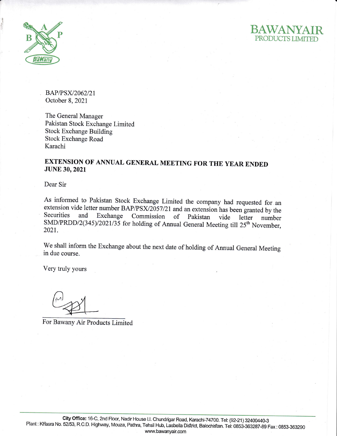

**i** d



BAP/PSX/2062/21 October 8,2021

The General Manager Pakistan Stock Exchange Limited Stock Exchange Building Stock Exchange Road Karachi

## EXTENSION OF ANNUAL GENERAL MEETING FOR THE YEAR ENDED JUNE 30,2021

Dear Sir

As informed to Pakistan Stock Exchange Limited the company had requested for an extension vide letter number BAP/PSX/2057/21 and an extension has been granted by the Securities and Exchange Commission of Pakistan vide letter number  $SMD/PRDD/2(345)/2021/35$  for holding of Annual General Meeting till  $25<sup>th</sup>$  November, 2021.

We shall inform the Exchange about the next date of holding of Annual General Meeting in due course.

Very truly yours

For Bawany Air Products Limited